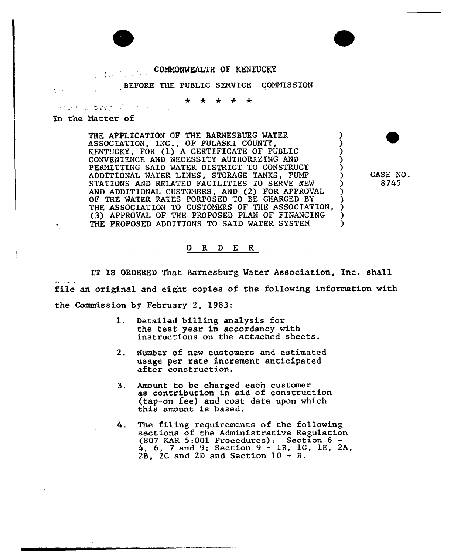## COMNONMEALTH OF KENTUCKY for the teachers

BEFORE THE PUBLIC SERVICE COMMISSION

 $\star$ ∗

In the Natter of

 $\mathbb{R}^2$ 

PORTS & DIRECT PRODUCT

THE APPLICATION OF THE BARNESBURG WATER ASSOCIATION, INC., OF PULASKI COUNTY, KENTUCKY, FOR (1) <sup>A</sup> CERTIFICATE OF PUBLIC ) CONVENIENCE AND NECESSITY AUTHORIZING AND ) PERMITTING SAID WATER DISTRICT TO CONSTRUCT ADDITIONAL WATER LINES, STORAGE TANKS, PUMP STATIONS AND RELATED FACILITIES TO SERVE NEW AND ADDITIONAL CUSTOMERS, AND (2) FOR APPROVAL OF THE WATER RATES PORPOSED TO BE CHARGED BY THE ASSOCIATION TO CUSTOMERS OF THE ASSOCIATION, (3) APPROVAL OF THE PROPOSED PLAN OF FINANCING THE PROPOSED ADDITIONS TO SAID WATER SYSTEM

CASE NO. 8745

0 R <sup>D</sup> E R

IT IS ORDERED That Barnesburg Mater Association, Inc. shall file an original and eight copies of the following information with the Commission by February 2, 1983:

- $1.$ Detailed billing analysis for the test year in accordancy with instructions on the attached sheets.
- $2.$ Number of new customers and estimated usage per rate increment anticipated after construction.
- Amount to be charged each customer  $3.$ as contribution in aid of construction (tap-on fee) and cost data upon which this amount is based.
- The filing requirements of the following 4. sections of the Administrative Regulation {807 EAR 5:001 Procedures): Section 6  $6, 7$  and  $9$ ; Section  $9 - 1B$ , 1C, 1E, 2A,  $2B. 2C$  and  $2D$  and Section  $10 - B.$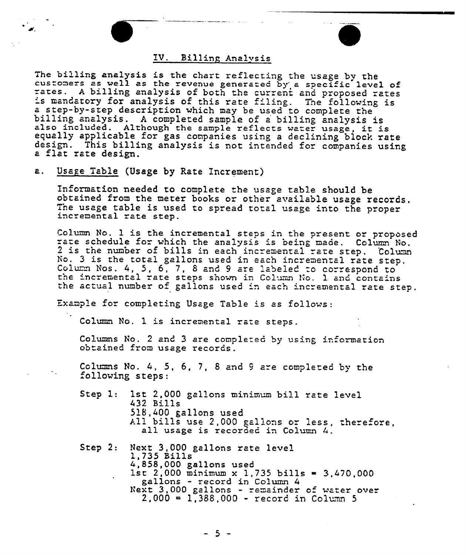## TV. Billing Analysis

The billing analysis is the chart reflecting the usage by the<br>customers as well as the revenue generated by' a specific level of<br>rates. A billing analysis of both the current and proposed rates is mandatory for analysis of this rate filing. The following is a step-by-step description which may be used to complete the<br>billing analysis. A completed sample of a billing analysis is<br>also included. Although the sample reflects water usage, it is<br>equally applicable for gas companies design. This billing analysis is not intended for companies using<br>a flat rate design.

## a. Usage Table (Usage by Rate Increment)

information needed to complete the usage table should be obtained from the meter books or other available usage records. The usage table is used to spread total usage into the proper incremental rate step.

Column No. 1 is the incremental steps in the present or proposed rate schedule for which the analysis is being made. Column No. 2 is the number of bills in each incremental rate step. Column No. 3 is the total gallons used in each incremental rate step. No. 3 is the total gallons used in each incremental rate step.<br>Column Nos. 4, 5, 6, 7, 8 and 9 are labeled to correspond to toe incremental rate steps shown in Column No. 1 and contain the actual number of gallons used 'n each 'ncremental rate step.

Example for completing Usage Table is as follows:

Column No. 1 is incremental rate steps.

Columns No. 2 and 3 are completed by using information obtained from usage records.

Columns No. 4, 5, 6, 7, 8 and 9 are completed by the following steps:

- Step 1: 1st 2,000 gallons minimum bill rate level 432 Bills 518,400 gallons used All bills use 2,000 gallons or less, therefore, all usage is recorded in Column 4.
- Step 2: Next 3,000 gallons rate level 1,735 Bills<br>4,858,000 gallons used<br> 1st 2,000 minimum x 1,735 bills = 3,470,000<br> gallons - record in Column 4 Next 3,000 gallons - remainder of water over  $2,000 = 1,388,000 - record in Column 5$

- 5 -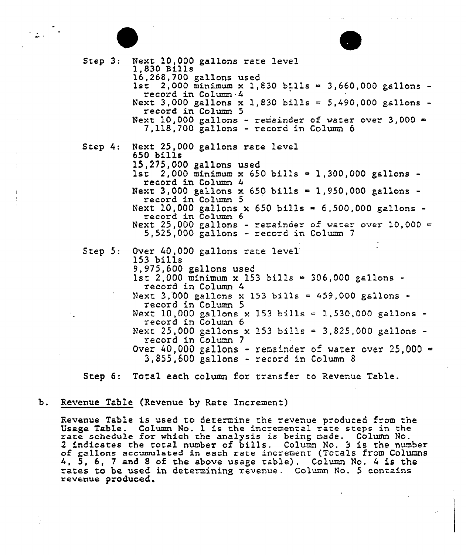

 $\mathcal{L}_{\text{max}} = \frac{1}{2}$ 

Step 3: Step 4: Step 5: Next 10,000 gallons rate level<br>1,830 Bills<br>16,268,700 gallons used 1st 2,000 minimum x 1,830 bills  $\approx$  3,660,000 gallons - record in Column 4 Next 3,000 gallons x 1,830 bills = 5,490,000 gallons record in Column 5 Next 10,000 gallons - remainder of water over 3,000 =  $7,118,700$  gallons - record in Column 6 Next 25,000 gallons rate level 650 bills<br>15,275,000 gallons used  $1st$  2,000 minimum x 650 bills = 1,300,000 gallons record in Column 4 Next 3,000 gallons x 650 bills = 1,950,000 gallons record in Column 5 Next 10,000 gallons x 650 bills = 6,500,000 gallons -  $record$  in Column 6 Next 25,000 gallons - remainder of water over 10,000 =  $5,525,000$  gallons - record in Column 7 Over 40,000 gallons rate level 153 bills 9,975,600 gallons used 1st 2,000 minimum x 153 bills = 306,000 gallons record in Column 4 Next 3,000 gallons x 153 bills = 459,000 gallons record in Column 5 Next 10,000 gallons x 153 bills = 1,530,000 gallons record in Column 6 Next 25,000 gallons x 153 bills = 3,825,000 gallons record in Column 7 Over 40,000 gallons - remainder of water over 25,000 = 3,855,6GG gallons - record in Column <sup>8</sup>

Step 6: Total each column for transfer to Revenue Table.

## b. Revenue Table (Revenue by Rate Increment)

Revenue Table is used to determine the revenue produced from the Usage Table. Column No. 1 is the incremental rate steps in the rate schedule for which the analysis is being made. Column No. rate schedule for which the analysis is being made. Column No.<br>2 indicates the total number of bills. Column No. 3 is the numbe<br>of gallons accumulated in each rate increment (Totals from Column of gallons accumulated in each rate increment (Totals from Columns<br>4, 5, 6, 7 and 8 of the above usage table). Column No. 4 is the rates to be used in determining revenue. Column No. 5 contains revenue produced.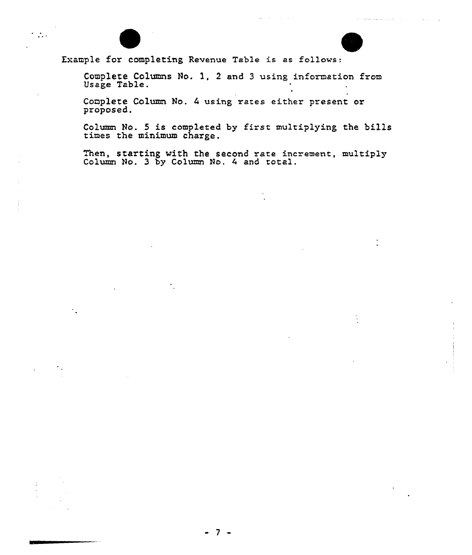

 $\cdot$   $\cdot$  .

Example for completing Revenue Table is as follows:

Complete Columns No. 1, 2 and 3 using information from Usage Table.

Complete Column No. 4 using rates either present or proposed.

Column No. 5 is completed by first multiplying the bill times the minimum charge.

hen, starting with the second rate increment, multipl Column No. 3 by Column No. 4 and total.

7